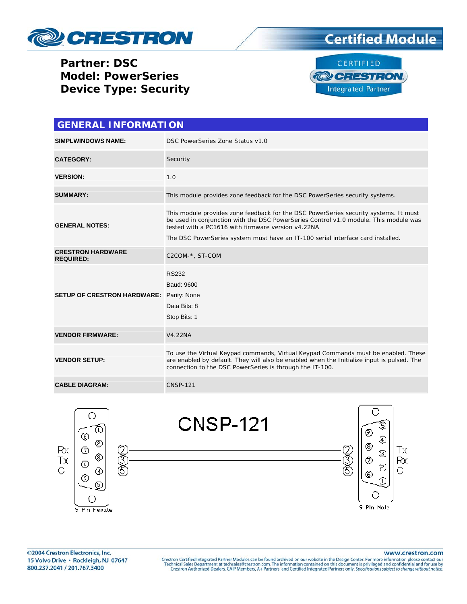

**Partner: DSC Model: PowerSeries Device Type: Security** 





| <b>GENERAL INFORMATION</b>                   |                                                                                                                                                                                                                                                                                                                       |  |
|----------------------------------------------|-----------------------------------------------------------------------------------------------------------------------------------------------------------------------------------------------------------------------------------------------------------------------------------------------------------------------|--|
| <b>SIMPLWINDOWS NAME:</b>                    | DSC PowerSeries Zone Status v1.0                                                                                                                                                                                                                                                                                      |  |
| <b>CATEGORY:</b>                             | Security                                                                                                                                                                                                                                                                                                              |  |
| <b>VERSION:</b>                              | 1.0                                                                                                                                                                                                                                                                                                                   |  |
| <b>SUMMARY:</b>                              | This module provides zone feedback for the DSC PowerSeries security systems.                                                                                                                                                                                                                                          |  |
| <b>GENERAL NOTES:</b>                        | This module provides zone feedback for the DSC PowerSeries security systems. It must<br>be used in conjunction with the DSC PowerSeries Control v1.0 module. This module was<br>tested with a PC1616 with firmware version y4.22NA<br>The DSC PowerSeries system must have an IT-100 serial interface card installed. |  |
| <b>CRESTRON HARDWARE</b><br><b>REQUIRED:</b> | C2COM-*, ST-COM                                                                                                                                                                                                                                                                                                       |  |
| <b>SETUP OF CRESTRON HARDWARE:</b>           | <b>RS232</b><br>Baud: 9600<br>Parity: None<br>Data Bits: 8<br>Stop Bits: 1                                                                                                                                                                                                                                            |  |
| <b>VENDOR FIRMWARE:</b>                      | V4.22NA                                                                                                                                                                                                                                                                                                               |  |
| <b>VENDOR SETUP:</b>                         | To use the Virtual Keypad commands, Virtual Keypad Commands must be enabled. These<br>are enabled by default. They will also be enabled when the Initialize input is pulsed. The<br>connection to the DSC PowerSeries is through the IT-100.                                                                          |  |
| <b>CABLE DIAGRAM:</b>                        | <b>CNSP-121</b>                                                                                                                                                                                                                                                                                                       |  |



www.crestron.com

Crestron Certified Integrated Partner Modules can be found archived on our website in the Design Center. For more information please contact our Technical Sales Department at techsales@crestron.com. The information contain